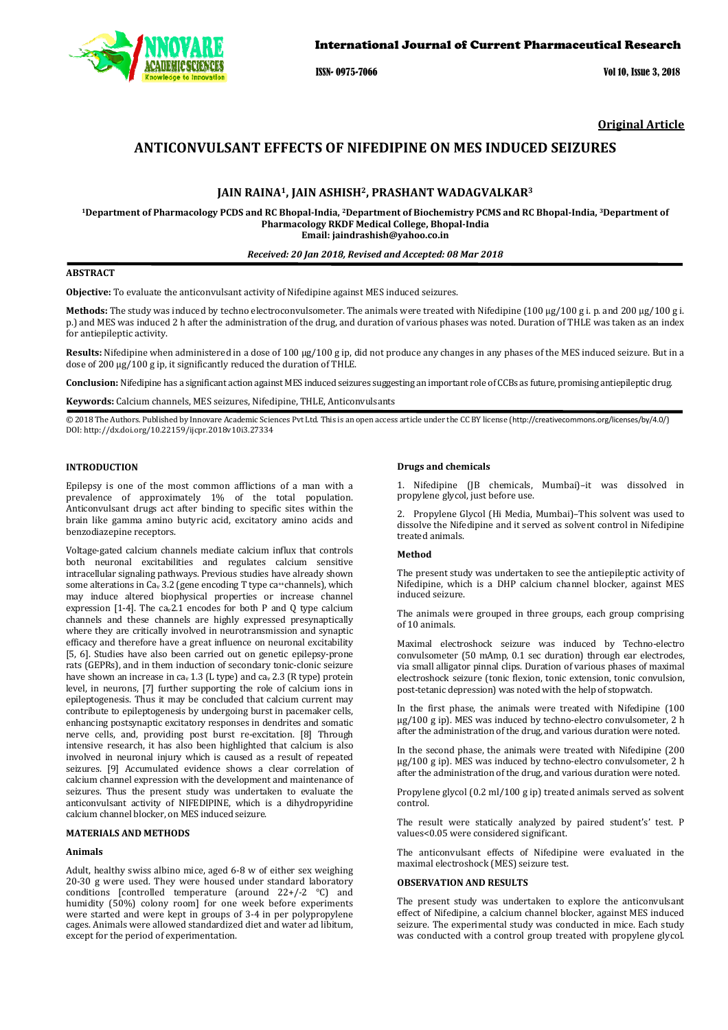

ISSN- 0975-7066 Vol 10, Issue 3, 2018

**Original Article** 

# **ANTICONVULSANT EFFECTS OF NIFEDIPINE ON MES INDUCED SEIZURES**

# **JAIN RAINA1, JAIN ASHISH2, PRASHANT WADAGVALKAR<sup>3</sup>**

**<sup>1</sup>Department of Pharmacology PCDS and RC Bhopal-India, <sup>2</sup>Department of Biochemistry PCMS and RC Bhopal-India, <sup>3</sup>Department of Pharmacology RKDF Medical College, Bhopal-India Email: jaindrashish@yahoo.co.in** 

#### *Received: 20 Jan 2018, Revised and Accepted: 08 Mar 2018*

# **ABSTRACT**

**Objective:** To evaluate the anticonvulsant activity of Nifedipine against MES induced seizures.

**Methods:** The study was induced by techno electroconvulsometer. The animals were treated with Nifedipine (100 μg/100 g i. p. and 200 μg/100 g i. p.) and MES was induced 2 h after the administration of the drug, and duration of various phases was noted. Duration of THLE was taken as an index for antiepileptic activity.

**Results:** Nifedipine when administered in a dose of 100 μg/100 g ip, did not produce any changes in any phases of the MES induced seizure. But in a dose of 200 μg/100 g ip, it significantly reduced the duration of THLE.

**Conclusion:** Nifedipine has a significant action against MES induced seizures suggesting an important role of CCBs as future, promising antiepileptic drug.

**Keywords:** Calcium channels, MES seizures, Nifedipine, THLE, Anticonvulsants

© 2018 The Authors. Published by Innovare Academic Sciences Pvt Ltd. This is an open access article under the CC BY license (http://creativecommons.org/licenses/by/4.0/) DOI: http://dx.doi.org/10.22159/ijcpr.2018v10i3.27334

## **INTRODUCTION**

Epilepsy is one of the most common afflictions of a man with a prevalence of approximately 1% of the total population. Anticonvulsant drugs act after binding to specific sites within the brain like gamma amino butyric acid, excitatory amino acids and benzodiazepine receptors.

Voltage-gated calcium channels mediate calcium influx that controls both neuronal excitabilities and regulates calcium sensitive intracellular signaling pathways. Previous studies have already shown some alterations in Ca<sub>v</sub> 3.2 (gene encoding T type ca<sup>++</sup>channels), which may induce altered biophysical properties or increase channel expression [1-4]. The  $ca<sub>v</sub>2.1$  encodes for both P and Q type calcium channels and these channels are highly expressed presynaptically where they are critically involved in neurotransmission and synaptic efficacy and therefore have a great influence on neuronal excitability [5, 6]. Studies have also been carried out on genetic epilepsy-prone rats (GEPRs), and in them induction of secondary tonic-clonic seizure have shown an increase in ca<sub>v</sub> 1.3 (L type) and ca<sub>v</sub> 2.3 (R type) protein level, in neurons, [7] further supporting the role of calcium ions in epileptogenesis. Thus it may be concluded that calcium current may contribute to epileptogenesis by undergoing burst in pacemaker cells, enhancing postsynaptic excitatory responses in dendrites and somatic nerve cells, and, providing post burst re-excitation. [8] Through intensive research, it has also been highlighted that calcium is also involved in neuronal injury which is caused as a result of repeated seizures. [9] Accumulated evidence shows a clear correlation of calcium channel expression with the development and maintenance of seizures. Thus the present study was undertaken to evaluate the anticonvulsant activity of NIFEDIPINE, which is a dihydropyridine calcium channel blocker, on MES induced seizure.

## **MATERIALS AND METHODS**

#### **Animals**

Adult, healthy swiss albino mice, aged 6-8 w of either sex weighing 20-30 g were used. They were housed under standard laboratory conditions [controlled temperature (around  $22+/-2$  °C) and humidity (50%) colony room] for one week before experiments were started and were kept in groups of 3-4 in per polypropylene cages. Animals were allowed standardized diet and water ad libitum, except for the period of experimentation.

#### **Drugs and chemicals**

1. Nifedipine (JB chemicals, Mumbai)–it was dissolved in propylene glycol, just before use.

2. Propylene Glycol (Hi Media, Mumbai)–This solvent was used to dissolve the Nifedipine and it served as solvent control in Nifedipine treated animals.

#### **Method**

The present study was undertaken to see the antiepileptic activity of Nifedipine, which is a DHP calcium channel blocker, against MES induced seizure.

The animals were grouped in three groups, each group comprising of 10 animals.

Maximal electroshock seizure was induced by Techno-electro convulsometer (50 mAmp, 0.1 sec duration) through ear electrodes, via small alligator pinnal clips. Duration of various phases of maximal electroshock seizure (tonic flexion, tonic extension, tonic convulsion, post-tetanic depression) was noted with the help of stopwatch.

In the first phase, the animals were treated with Nifedipine (100 μg/100 g ip). MES was induced by techno-electro convulsometer, 2 h after the administration of the drug, and various duration were noted.

In the second phase, the animals were treated with Nifedipine (200 μg/100 g ip). MES was induced by techno-electro convulsometer, 2 h after the administration of the drug, and various duration were noted.

Propylene glycol (0.2 ml/100 g ip) treated animals served as solvent control.

The result were statically analyzed by paired student's' test. P values<0.05 were considered significant.

The anticonvulsant effects of Nifedipine were evaluated in the maximal electroshock (MES) seizure test.

### **OBSERVATION AND RESULTS**

The present study was undertaken to explore the anticonvulsant effect of Nifedipine, a calcium channel blocker, against MES induced seizure. The experimental study was conducted in mice. Each study was conducted with a control group treated with propylene glycol.